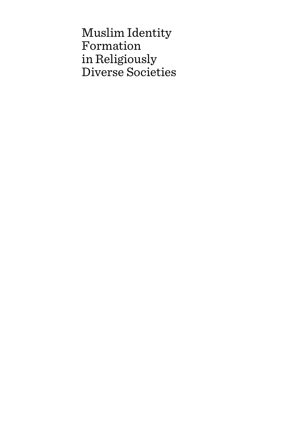Muslim Identity Formation in Religiously Diverse Societies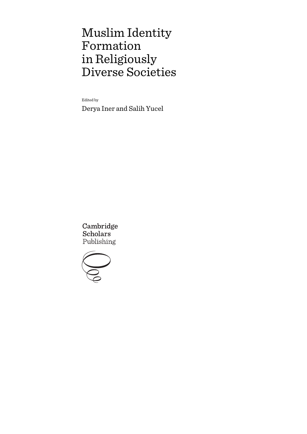# Muslim Identity Formation in Religiously Diverse Societies

Edited by

Derya Iner and Salih Yucel

Cambridge **Scholars** Publishing

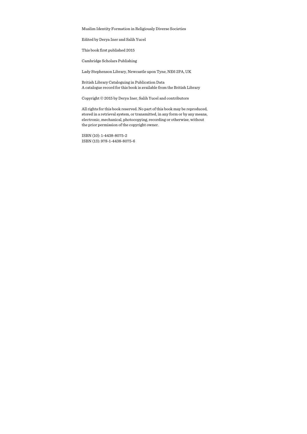Muslim Identity Formation in Religiously Diverse Societies

Edited by Derya Iner and Salih Yucel

This book first published 2015

Cambridge Scholars Publishing

Lady Stephenson Library, Newcastle upon Tyne, NE6 2PA, UK

British Library Cataloguing in Publication Data A catalogue record for this book is available from the British Library

Copyright © 2015 by Derya Iner, Salih Yucel and contributors

All rights for this book reserved. No part of this book may be reproduced, stored in a retrieval system, or transmitted, in any form or by any means, electronic, mechanical, photocopying, recording or otherwise, without the prior permission of the copyright owner.

ISBN (10): 1-4438-8075-2 ISBN (13): 978-1-4438-8075-6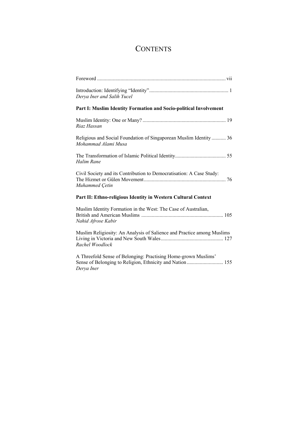# **CONTENTS**

| Derya Iner and Salih Yucel                                                                                                               |  |  |
|------------------------------------------------------------------------------------------------------------------------------------------|--|--|
| Part I: Muslim Identity Formation and Socio-political Involvement                                                                        |  |  |
| Riaz Hassan                                                                                                                              |  |  |
| Religious and Social Foundation of Singaporean Muslim Identity  36<br>Mohammad Alami Musa                                                |  |  |
| Halim Rane                                                                                                                               |  |  |
| Civil Society and its Contribution to Democratisation: A Case Study:<br>Muhammed Çetin                                                   |  |  |
| Part II: Ethno-religious Identity in Western Cultural Context                                                                            |  |  |
| Muslim Identity Formation in the West: The Case of Australian,<br>Nahid Afrose Kabir                                                     |  |  |
| Muslim Religiosity: An Analysis of Salience and Practice among Muslims<br>Rachel Woodlock                                                |  |  |
| A Threefold Sense of Belonging: Practising Home-grown Muslims'<br>Sense of Belonging to Religion, Ethnicity and Nation 155<br>Derya Iner |  |  |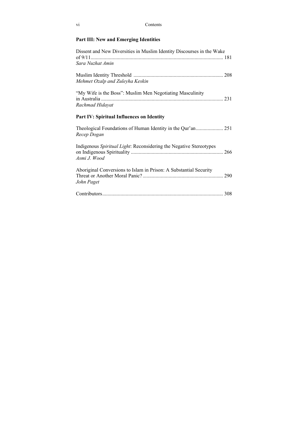| V1 | Contents |
|----|----------|
|----|----------|

### **Part III: New and Emerging Identities**

| Dissent and New Diversities in Muslim Identity Discourses in the Wake              |
|------------------------------------------------------------------------------------|
| Sara Nuzhat Amin                                                                   |
| Mehmet Ozalp and Zuleyha Keskin                                                    |
| "My Wife is the Boss": Muslim Men Negotiating Masculinity<br>Rachmad Hidayat       |
| Part IV: Spiritual Influences on Identity                                          |
| Recep Dogan                                                                        |
| Indigenous Spiritual Light: Reconsidering the Negative Stereotypes<br>Asmi J. Wood |
| Aboriginal Conversions to Islam in Prison: A Substantial Security<br>John Paget    |
|                                                                                    |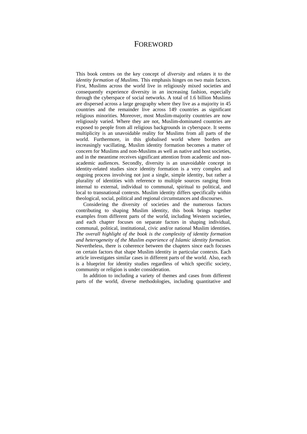### FOREWORD

This book centres on the key concept of *diversity* and relates it to the *identity formation of Muslims*. This emphasis hinges on two main factors. First, Muslims across the world live in religiously mixed societies and consequently experience diversity in an increasing fashion, especially through the cyberspace of social networks. A total of 1.6 billion Muslims are dispersed across a large geography where they live as a majority in 45 countries and the remainder live across 149 countries as significant religious minorities. Moreover, most Muslim-majority countries are now religiously varied. Where they are not, Muslim-dominated countries are exposed to people from all religious backgrounds in cyberspace. It seems multiplicity is an unavoidable reality for Muslims from all parts of the world. Furthermore, in this globalised world where borders are increasingly vacillating, Muslim identity formation becomes a matter of concern for Muslims and non-Muslims as well as native and host societies, and in the meantime receives significant attention from academic and nonacademic audiences. Secondly, diversity is an unavoidable concept in identity-related studies since identity formation is a very complex and ongoing process involving not just a single, simple identity, but rather a plurality of identities with reference to multiple sources ranging from internal to external, individual to communal, spiritual to political, and local to transnational contexts. Muslim identity differs specifically within theological, social, political and regional circumstances and discourses.

Considering the diversity of societies and the numerous factors contributing to shaping Muslim identity, this book brings together examples from different parts of the world, including Western societies, and each chapter focuses on separate factors in shaping individual, communal, political, institutional, civic and/or national Muslim identities. *The overall highlight of the book is the complexity of identity formation and heterogeneity of the Muslim experience of Islamic identity formation.* Nevertheless, there is coherence between the chapters since each focuses on certain factors that shape Muslim identity in particular contexts. Each article investigates similar cases in different parts of the world. Also, each is a blueprint for identity studies regardless of which specific society, community or religion is under consideration.

In addition to including a variety of themes and cases from different parts of the world, diverse methodologies, including quantitative and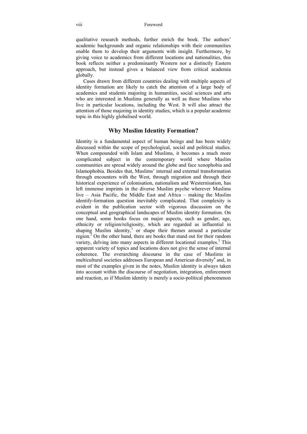qualitative research methods, further enrich the book. The authors' academic backgrounds and organic relationships with their communities enable them to develop their arguments with insight. Furthermore, by giving voice to academics from different locations and nationalities, this book reflects neither a predominantly Western nor a distinctly Eastern approach, but instead gives a balanced view from critical academia globally.

Cases drawn from different countries dealing with multiple aspects of identity formation are likely to catch the attention of a large body of academics and students majoring in humanities, social sciences and arts who are interested in Muslims generally as well as those Muslims who live in particular locations, including the West. It will also attract the attention of those majoring in identity studies, which is a popular academic topic in this highly globalised world.

### **Why Muslim Identity Formation?**

Identity is a fundamental aspect of human beings and has been widely discussed within the scope of psychological, social and political studies. When compounded with Islam and Muslims, it becomes a much more complicated subject in the contemporary world where Muslim communities are spread widely around the globe and face xenophobia and Islamophobia. Besides that, Muslims' internal and external transformation through encounters with the West, through migration and through their historical experience of colonisation, nationalism and Westernisation, has left immense imprints in the diverse Muslim psyche wherever Muslims live – Asia Pacific, the Middle East and Africa – making the Muslim identify-formation question inevitably complicated. That complexity is evident in the publication sector with vigorous discussion on the conceptual and geographical landscapes of Muslim identity formation. On one hand, some books focus on major aspects, such as gender, age, ethnicity or religion/religiosity, which are regarded as influential in shaping Muslim identity, $\frac{1}{1}$  or shape their themes around a particular region.<sup>2</sup> On the other hand, there are books that stand out for their random variety, delving into many aspects in different locational examples.<sup>3</sup> This apparent variety of topics and locations does not give the sense of internal coherence. The overarching discourse in the case of Muslims in multicultural societies addresses European and American diversity<sup>4</sup> and, in most of the examples given in the notes, Muslim identity is always taken into account within the discourse of negotiation, integration, enforcement and reaction, as if Muslim identity is merely a socio-political phenomenon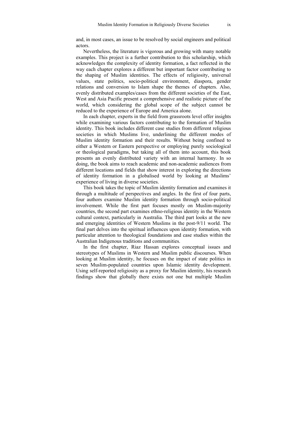and, in most cases, an issue to be resolved by social engineers and political actors.

Nevertheless, the literature is vigorous and growing with many notable examples. This project is a further contribution to this scholarship, which acknowledges the complexity of identity formation, a fact reflected in the way each chapter explores a different but important factor contributing to the shaping of Muslim identities. The effects of religiosity, universal values, state politics, socio-political environment, diaspora, gender relations and conversion to Islam shape the themes of chapters. Also, evenly distributed examples/cases from the different societies of the East, West and Asia Pacific present a comprehensive and realistic picture of the world, which considering the global scope of the subject cannot be reduced to the experience of Europe and America alone.

In each chapter, experts in the field from grassroots level offer insights while examining various factors contributing to the formation of Muslim identity. This book includes different case studies from different religious societies in which Muslims live, underlining the different modes of Muslim identity formation and their results. Without being confined to either a Western or Eastern perspective or employing purely sociological or theological paradigms, but taking all of them into account, this book presents an evenly distributed variety with an internal harmony. In so doing, the book aims to reach academic and non-academic audiences from different locations and fields that show interest in exploring the directions of identity formation in a globalised world by looking at Muslims' experience of living in diverse societies.

This book takes the topic of Muslim identity formation and examines it through a multitude of perspectives and angles. In the first of four parts, four authors examine Muslim identity formation through socio-political involvement. While the first part focuses mostly on Muslim-majority countries, the second part examines ethno-religious identity in the Western cultural context, particularly in Australia. The third part looks at the new and emerging identities of Western Muslims in the post-9/11 world. The final part delves into the spiritual influences upon identity formation, with particular attention to theological foundations and case studies within the Australian Indigenous traditions and communities.

In the first chapter, Riaz Hassan explores conceptual issues and stereotypes of Muslims in Western and Muslim public discourses. When looking at Muslim identity, he focuses on the impact of state politics in seven Muslim-populated countries upon Islamic identity development. Using self-reported religiosity as a proxy for Muslim identity, his research findings show that globally there exists not one but multiple Muslim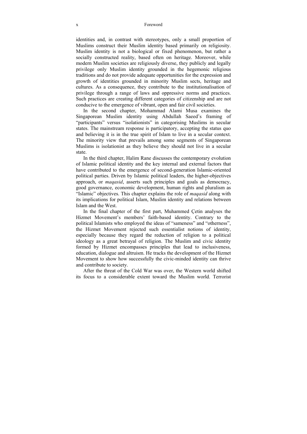#### x Foreword

identities and, in contrast with stereotypes, only a small proportion of Muslims construct their Muslim identity based primarily on religiosity. Muslim identity is not a biological or fixed phenomenon, but rather a socially constructed reality, based often on heritage. Moreover, while modern Muslim societies are religiously diverse, they publicly and legally privilege only Muslim identity grounded in the hegemonic religious traditions and do not provide adequate opportunities for the expression and growth of identities grounded in minority Muslim sects, heritage and cultures. As a consequence, they contribute to the institutionalisation of privilege through a range of laws and oppressive norms and practices. Such practices are creating different categories of citizenship and are not conducive to the emergence of vibrant, open and fair civil societies.

In the second chapter, Mohammad Alami Musa examines the Singaporean Muslim identity using Abdullah Saeed's framing of "participants" versus "isolationists" in categorising Muslims in secular states. The mainstream response is participatory, accepting the status quo and believing it is in the true spirit of Islam to live in a secular context. The minority view that prevails among some segments of Singaporean Muslims is isolationist as they believe they should not live in a secular state.

In the third chapter, Halim Rane discusses the contemporary evolution of Islamic political identity and the key internal and external factors that have contributed to the emergence of second-generation Islamic-oriented political parties. Driven by Islamic political leaders, the higher-objectives approach, or *maqasid*, asserts such principles and goals as democracy, good governance, economic development, human rights and pluralism as "Islamic" objectives. This chapter explains the role of *maqasid* along with its implications for political Islam, Muslim identity and relations between Islam and the West.

In the final chapter of the first part, Muhammed Çetin analyses the Hizmet Movement's members' faith-based identity. Contrary to the political Islamists who employed the ideas of "sameness" and "otherness", the Hizmet Movement rejected such essentialist notions of identity, especially because they regard the reduction of religion to a political ideology as a great betrayal of religion. The Muslim and civic identity formed by Hizmet encompasses principles that lead to inclusiveness, education, dialogue and altruism. He tracks the development of the Hizmet Movement to show how successfully the civic-minded identity can thrive and contribute to society.

After the threat of the Cold War was over, the Western world shifted its focus to a considerable extent toward the Muslim world. Terrorist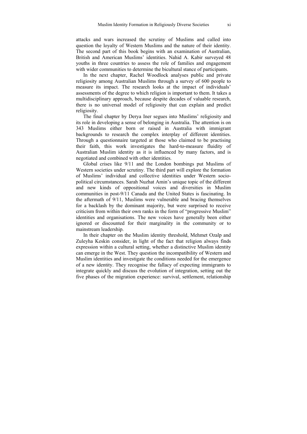attacks and wars increased the scrutiny of Muslims and called into question the loyalty of Western Muslims and the nature of their identity. The second part of this book begins with an examination of Australian, British and American Muslims' identities. Nahid A. Kabir surveyed 48 youths in three countries to assess the role of families and engagement with wider communities to determine the bicultural stance of participants.

In the next chapter, Rachel Woodlock analyses public and private religiosity among Australian Muslims through a survey of 600 people to measure its impact. The research looks at the impact of individuals' assessments of the degree to which religion is important to them. It takes a multidisciplinary approach, because despite decades of valuable research, there is no universal model of religiosity that can explain and predict religiosity.

The final chapter by Derya Iner segues into Muslims' religiosity and its role in developing a sense of belonging in Australia. The attention is on 343 Muslims either born or raised in Australia with immigrant backgrounds to research the complex interplay of different identities. Through a questionnaire targeted at those who claimed to be practising their faith, this work investigates the hard-to-measure fluidity of Australian Muslim identity as it is influenced by many factors, and is negotiated and combined with other identities.

Global crises like 9/11 and the London bombings put Muslims of Western societies under scrutiny. The third part will explore the formation of Muslims' individual and collective identities under Western sociopolitical circumstances. Sarah Nuzhat Amin's unique topic of the different and new kinds of oppositional voices and diversities in Muslim communities in post-9/11 Canada and the United States is fascinating. In the aftermath of 9/11, Muslims were vulnerable and bracing themselves for a backlash by the dominant majority, but were surprised to receive criticism from within their own ranks in the form of "progressive Muslim" identities and organisations. The new voices have generally been either ignored or discounted for their marginality in the community or to mainstream leadership.

In their chapter on the Muslim identity threshold, Mehmet Ozalp and Zuleyha Keskin consider, in light of the fact that religion always finds expression within a cultural setting, whether a distinctive Muslim identity can emerge in the West. They question the incompatibility of Western and Muslim identities and investigate the conditions needed for the emergence of a new identity. They recognise the fallacy of expecting immigrants to integrate quickly and discuss the evolution of integration, setting out the five phases of the migration experience: survival, settlement, relationship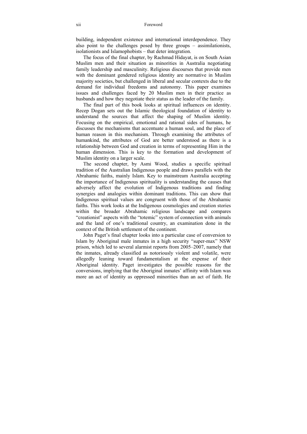building, independent existence and international interdependence. They also point to the challenges posed by three groups – assimilationists, isolationists and Islamophobists – that deter integration.

The focus of the final chapter, by Rachmad Hidayat, is on South Asian Muslim men and their situation as minorities in Australia negotiating family leadership and masculinity. Religious discourses that provide men with the dominant gendered religious identity are normative in Muslim majority societies, but challenged in liberal and secular contexts due to the demand for individual freedoms and autonomy. This paper examines issues and challenges faced by 20 Muslim men in their practice as husbands and how they negotiate their status as the leader of the family.

The final part of this book looks at spiritual influences on identity. Recep Dogan sets out the Islamic theological foundation of identity to understand the sources that affect the shaping of Muslim identity. Focusing on the empirical, emotional and rational sides of humans, he discusses the mechanisms that accentuate a human soul, and the place of human reason in this mechanism. Through examining the attributes of humankind, the attributes of God are better understood as there is a relationship between God and creation in terms of representing Him in the human dimension. This is key to the formation and development of Muslim identity on a larger scale.

The second chapter, by Asmi Wood, studies a specific spiritual tradition of the Australian Indigenous people and draws parallels with the Abrahamic faiths, mainly Islam. Key to mainstream Australia accepting the importance of Indigenous spirituality is understanding the causes that adversely affect the evolution of Indigenous traditions and finding synergies and analogies within dominant traditions. This can show that Indigenous spiritual values are congruent with those of the Abrahamic faiths. This work looks at the Indigenous cosmologies and creation stories within the broader Abrahamic religious landscape and compares "creationist" aspects with the "totemic" system of connection with animals and the land of one's traditional country, an examination done in the context of the British settlement of the continent.

John Paget's final chapter looks into a particular case of conversion to Islam by Aboriginal male inmates in a high security "super-max" NSW prison, which led to several alarmist reports from 2005–2007, namely that the inmates, already classified as notoriously violent and volatile, were allegedly leaning toward fundamentalism at the expense of their Aboriginal identity. Paget investigates the possible reasons for the conversions, implying that the Aboriginal inmates' affinity with Islam was more an act of identity as oppressed minorities than an act of faith. He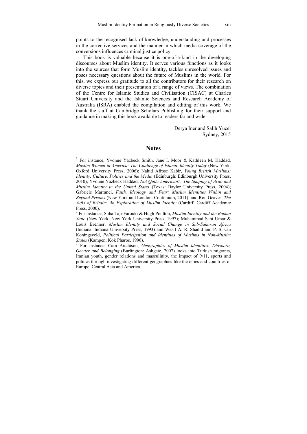points to the recognised lack of knowledge, understanding and processes in the corrective services and the manner in which media coverage of the conversions influences criminal justice policy.

This book is valuable because it is one-of-a-kind in the developing discourses about Muslim identity. It serves various functions as it looks into the sources that form Muslim identity, tackles unresolved issues and poses necessary questions about the future of Muslims in the world. For this, we express our gratitude to all the contributors for their research on diverse topics and their presentation of a range of views. The combination of the Centre for Islamic Studies and Civilisation (CISAC) at Charles Stuart University and the Islamic Sciences and Research Academy of Australia (ISRA) enabled the compilation and editing of this work. We thank the staff at Cambridge Scholars Publishing for their support and guidance in making this book available to readers far and wide.

> Derya Iner and Salih Yucel Sydney, 2015

#### **Notes**

<sup>1</sup> For instance, Yvonne Yazbeck Smith, Jane I. Moor & Kathleen M. Haddad, *Muslim Women in America: The Challenge of Islamic Identity Today* (New York: Oxford University Press, 2006); Nahid Afrose Kabir, *Young British Muslims: Identity, Culture, Politics and the Media* (Edinburgh: Edinburgh University Press, 2010); Yvonne Yazbeck Haddad, *Not Quite American?: The Shaping of Arab and Muslim Identity in the United States* (Texas: Baylor University Press, 2004); Gabriele Marranci, *Faith, Ideology and Fear: Muslim Identities Within and Beyond Prisons* (New York and London: Continuum, 2011); and Ron Geaves, *The Sufis of Britain: An Exploration of Muslim Identity* (Cardiff: Cardiff Academic Press, 2000).

2 For instance, Suha Taji-Farouki & Hugh Poulton, *Muslim Identity and the Balkan State* (New York: New York University Press, 1997); Muhammad Sani Umar & Louis Brenner, *Muslim Identity and Social Change in Sub-Saharan Africa* (Indiana: Indiana University Press, 1993) and Wasif A. R. Shadid and P. S. van Koningsveld, *Political Participation and Identities of Muslims in Non-Muslim States* (Kampen: Kok Pharos, 1996).

 For instance, Cara Aitchison, *Geographies of Muslim Identities: Diaspora, Gender and Belonging* (Burlington: Ashgate, 2007) looks into Turkish migrants, Iranian youth, gender relations and masculinity, the impact of 9/11, sports and politics through investigating different geographies like the cities and countries of Europe, Central Asia and America.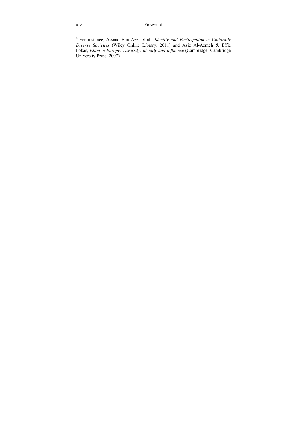xiv Foreword

4 For instance, Assaad Elia Azzi et al., *Identity and Participation in Culturally Diverse Societies* (Wiley Online Library, 2011) and Aziz Al-Azmeh & Effie Fokas, *Islam in Europe: Diversity, Identity and Influence* (Cambridge: Cambridge University Press, 2007).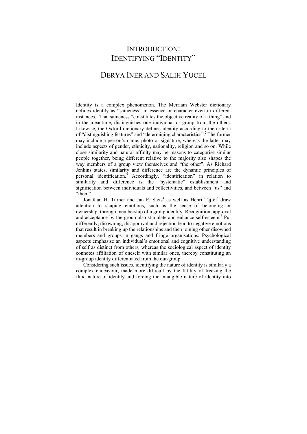## INTRODUCTION: IDENTIFYING "IDENTITY"

### DERYA INER AND SALIH YUCEL

Identity is a complex phenomenon. The Merriam Webster dictionary defines identity as "sameness" in essence or character even in different instances.<sup>1</sup> That sameness "constitutes the objective reality of a thing" and in the meantime, distinguishes one individual or group from the others. Likewise, the Oxford dictionary defines identity according to the criteria of "distinguishing features" and "determining characteristics".2 The former may include a person's name, photo or signature, whereas the latter may include aspects of gender, ethnicity, nationality, religion and so on. While close similarity and natural affinity may be reasons to categorise similar people together, being different relative to the majority also shapes the way members of a group view themselves and "the other". As Richard Jenkins states, similarity and difference are the dynamic principles of personal identification.<sup>3</sup> Accordingly, "identification" in relation to similarity and difference is the "systematic" establishment and signification between individuals and collectivities, and between "us" and "them".

Jonathan H. Turner and Jan E. Stets<sup>4</sup> as well as Henri Tajfel<sup>5</sup> draw attention to shaping emotions, such as the sense of belonging or ownership, through membership of a group identity. Recognition, approval and acceptance by the group also stimulate and enhance self-esteem.<sup>6</sup> Put differently, disowning, disapproval and rejection lead to negative emotions that result in breaking up the relationships and then joining other disowned members and groups in gangs and fringe organisations. Psychological aspects emphasise an individual's emotional and cognitive understanding of self as distinct from others, whereas the sociological aspect of identity connotes affiliation of oneself with similar ones, thereby constituting an in-group identity differentiated from the out-group.

Considering such issues, identifying the nature of identity is similarly a complex endeavour, made more difficult by the futility of freezing the fluid nature of identity and forcing the intangible nature of identity into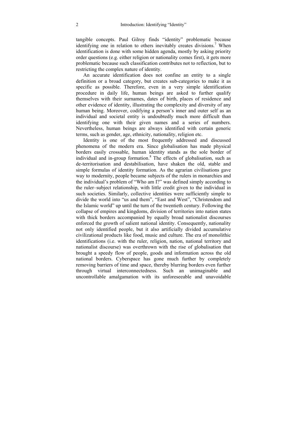tangible concepts. Paul Gilroy finds "identity" problematic because identifying one in relation to others inevitably creates divisions.<sup>7</sup> When identification is done with some hidden agenda, mostly by asking priority order questions (e.g. either religion or nationality comes first), it gets more problematic because such classification contributes not to reflection, but to restricting the complex nature of identity.

An accurate identification does not confine an entity to a single definition or a broad category, but creates sub-categories to make it as specific as possible. Therefore, even in a very simple identification procedure in daily life, human beings are asked to further qualify themselves with their surnames, dates of birth, places of residence and other evidence of identity, illustrating the complexity and diversity of any human being. Moreover, codifying a person's inner and outer self as an individual and societal entity is undoubtedly much more difficult than identifying one with their given names and a series of numbers. Nevertheless, human beings are always identified with certain generic terms, such as gender, age, ethnicity, nationality, religion etc.

Identity is one of the most frequently addressed and discussed phenomena of the modern era. Since globalisation has made physical borders easily crossable, human identity stands as the sole border of individual and in-group formation.<sup>8</sup> The effects of globalisation, such as de-territorisation and destabilisation, have shaken the old, stable and simple formulas of identity formation. As the agrarian civilisations gave way to modernity, people became subjects of the rulers in monarchies and the individual's problem of "Who am I?" was defined simply according to the ruler–subject relationship, with little credit given to the individual in such societies. Similarly, collective identities were sufficiently simple to divide the world into "us and them", "East and West", "Christendom and the Islamic world" up until the turn of the twentieth century. Following the collapse of empires and kingdoms, division of territories into nation states with thick borders accompanied by equally broad nationalist discourses enforced the growth of salient national identity. Consequently, nationality not only identified people, but it also artificially divided accumulative civilizational products like food, music and culture. The era of monolithic identifications (i.e. with the ruler, religion, nation, national territory and nationalist discourse) was overthrown with the rise of globalisation that brought a speedy flow of people, goods and information across the old national borders. Cyberspace has gone much further by completely removing barriers of time and space, thereby blurring borders even further through virtual interconnectedness. Such an unimaginable and uncontrollable amalgamation with its unforeseeable and unavoidable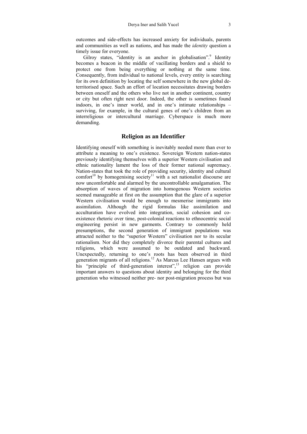outcomes and side-effects has increased anxiety for individuals, parents and communities as well as nations, and has made the *identity* question a timely issue for everyone.

Gilroy states, "identity is an anchor in globalisation".<sup>9</sup> Identity becomes a beacon in the middle of vacillating borders and a shield to protect one from being everything or nothing at the same time. Consequently, from individual to national levels, every entity is searching for its own definition by locating the self somewhere in the new global deterritorised space. Such an effort of location necessitates drawing borders between oneself and the others who live not in another continent, country or city but often right next door. Indeed, the other is sometimes found indoors, in one's inner world, and in one's intimate relationships – surviving, for example, in the cultural genes of one's children from an interreligious or intercultural marriage. Cyberspace is much more demanding.

#### **Religion as an Identifier**

Identifying oneself with something is inevitably needed more than ever to attribute a meaning to one's existence. Sovereign Western nation-states previously identifying themselves with a superior Western civilisation and ethnic nationality lament the loss of their former national supremacy. Nation-states that took the role of providing security, identity and cultural comfort<sup>10</sup> by homogenising society<sup>11</sup> with a set nationalist discourse are now uncomfortable and alarmed by the uncontrollable amalgamation. The absorption of waves of migration into homogenous Western societies seemed manageable at first on the assumption that the glare of a superior Western civilisation would be enough to mesmerise immigrants into assimilation. Although the rigid formulas like assimilation and acculturation have evolved into integration, social cohesion and coexistence rhetoric over time, post-colonial reactions to ethnocentric social engineering persist in new garments. Contrary to commonly held presumptions, the second generation of immigrant populations was attracted neither to the "superior Western" civilisation nor to its secular rationalism. Nor did they completely divorce their parental cultures and religions, which were assumed to be outdated and backward. Unexpectedly, returning to one's roots has been observed in third generation migrants of all religions.<sup>12</sup> As Marcus Lee Hansen argues with his "principle of third-generation interest",<sup>13</sup> religion can provide important answers to questions about identity and belonging for the third generation who witnessed neither pre- nor post-migration process but was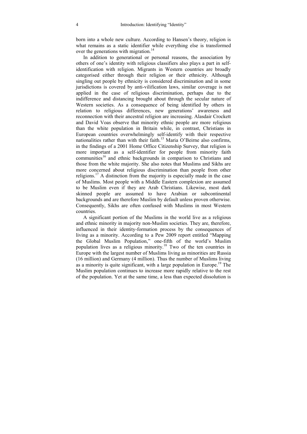born into a whole new culture. According to Hansen's theory, religion is what remains as a static identifier while everything else is transformed over the generations with migration.<sup>14</sup>

In addition to generational or personal reasons, the association by others of one's identity with religious classifiers also plays a part in selfidentification with religion. Migrants in Western countries are broadly categorised either through their religion or their ethnicity. Although singling out people by ethnicity is considered discrimination and in some jurisdictions is covered by anti-vilification laws, similar coverage is not applied in the case of religious discrimination, perhaps due to the indifference and distancing brought about through the secular nature of Western societies. As a consequence of being identified by others in relation to religious differences, new generations' awareness and reconnection with their ancestral religion are increasing. Alasdair Crockett and David Voas observe that minority ethnic people are more religious than the white population in Britain while, in contrast, Christians in European countries overwhelmingly self-identify with their respective nationalities rather than with their faith.<sup>15</sup> Maria O'Beirne also confirms, in the findings of a 2001 Home Office Citizenship Survey, that religion is more important as a self-identifier for people from minority faith communities<sup>16</sup> and ethnic backgrounds in comparison to Christians and those from the white majority. She also notes that Muslims and Sikhs are more concerned about religious discrimination than people from other religions.<sup>17</sup> A distinction from the majority is especially made in the case of Muslims. Most people with a Middle Eastern complexion are assumed to be Muslim even if they are Arab Christians. Likewise, most dark skinned people are assumed to have Arabian or subcontinental backgrounds and are therefore Muslim by default unless proven otherwise. Consequently, Sikhs are often confused with Muslims in most Western countries.

A significant portion of the Muslims in the world live as a religious and ethnic minority in majority non-Muslim societies. They are, therefore, influenced in their identity-formation process by the consequences of living as a minority. According to a Pew 2009 report entitled "Mapping the Global Muslim Population," one-fifth of the world's Muslim population lives as a religious minority.18 Two of the ten countries in Europe with the largest number of Muslims living as minorities are Russia (16 million) and Germany (4 million). Thus the number of Muslims living as a minority is quite significant, with a large population in Europe.19 The Muslim population continues to increase more rapidly relative to the rest of the population. Yet at the same time, a less than expected dissolution is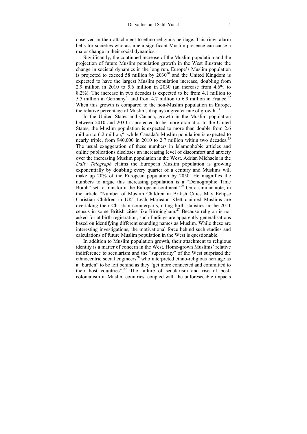observed in their attachment to ethno-religious heritage. This rings alarm bells for societies who assume a significant Muslim presence can cause a major change in their social dynamics.

Significantly, the continued increase of the Muslim population and the projection of future Muslim population growth in the West illustrate the change in societal dynamics in the long run. Europe's Muslim population is projected to exceed 58 million by  $2030^{20}$  and the United Kingdom is expected to have the largest Muslim population increase, doubling from 2.9 million in 2010 to 5.6 million in 2030 (an increase from 4.6% to 8.2%). The increase in two decades is expected to be from 4.1 million to 5.5 million in Germany<sup>21</sup> and from 4.7 million to 6.9 million in France.<sup>22</sup> When this growth is compared to the non-Muslim population in Europe. the relative percentage of Muslims displays a greater rate of growth.<sup>23</sup>

In the United States and Canada, growth in the Muslim population between 2010 and 2030 is projected to be more dramatic. In the United States, the Muslim population is expected to more than double from 2.6 million to 6.2 million,  $^{24}$  while Canada's Muslim population is expected to nearly triple, from 940,000 in 2010 to 2.7 million within two decades.<sup>25</sup> The usual exaggeration of these numbers in Islamophobic articles and online publications discloses an increasing level of discomfort and anxiety over the increasing Muslim population in the West. Adrian Michaels in the *Daily Telegraph* claims the European Muslim population is growing exponentially by doubling every quarter of a century and Muslims will make up 20% of the European population by 2050. He magnifies the numbers to argue this increasing population is a "Demographic Time Bomb" set to transform the European continent."26 On a similar note, in the article "Number of Muslim Children in British Cities May Eclipse Christian Children in UK" Leah Marieann Klett claimed Muslims are overtaking their Christian counterparts, citing birth statistics in the 2011 census in some British cities like Birmingham.27 Because religion is not asked for at birth registration, such findings are apparently generalisations based on identifying different sounding names as Muslim. While these are interesting investigations, the motivational force behind such studies and calculations of future Muslim population in the West is questionable.

In addition to Muslim population growth, their attachment to religious identity is a matter of concern in the West. Home-grown Muslims' relative indifference to secularism and the "superiority" of the West surprised the ethnocentric social engineers<sup>28</sup> who interpreted ethno-religious heritage as a "burden" to be left behind as they "get more connected and committed to their host countries".29 The failure of secularism and rise of postcolonialism in Muslim countries, coupled with the unforeseeable impacts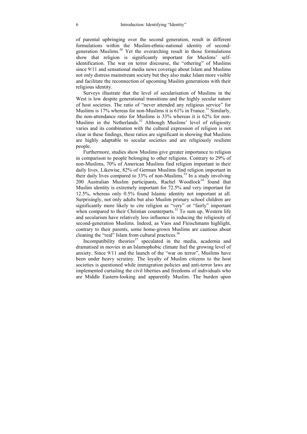of parental upbringing over the second generation, result in different formulations within the Muslim-ethnic-national identity of secondgeneration Muslims.30 Yet the overarching result in those formulations show that religion is significantly important for Muslims' selfidentification. The war on terror discourse, the "othering" of Muslims since 9/11 and sensational media news coverage about Islam and Muslims not only distress mainstream society but they also make Islam more visible and facilitate the reconnection of upcoming Muslim generations with their religious identity.

Surveys illustrate that the level of secularisation of Muslims in the West is low despite generational transitions and the highly secular nature of host societies. The ratio of "never attended any religious service" for Muslims is 17% whereas for non-Muslims it is  $61\%$  in France.<sup>31</sup> Similarly, the non-attendance ratio for Muslims is 33% whereas it is 62% for non-Muslims in the Netherlands.<sup>32</sup> Although Muslims' level of religiosity varies and its combination with the cultural expression of religion is not clear in these findings, these ratios are significant in showing that Muslims are highly adaptable to secular societies and are religiously resilient people.

Furthermore, studies show Muslims give greater importance to religion in comparison to people belonging to other religions. Contrary to 29% of non-Muslims, 70% of American Muslims find religion important in their daily lives. Likewise, 82% of German Muslims find religion important in their daily lives compared to 33% of non-Muslims.<sup>33</sup> In a study involving 200 Australian Muslim participants, Rachel Woodlock<sup>34</sup> found that Muslim identity is extremely important for 72.5% and very important for 12.5%, whereas only 0.5% found Islamic identity not important at all. Surprisingly, not only adults but also Muslim primary school children are significantly more likely to cite religion as "very" or "fairly" important when compared to their Christian counterparts.<sup>35</sup> To sum up, Western life and secularism have relatively less influence in reducing the religiosity of second-generation Muslims. Indeed, as Vaos and Fleischmann highlight, contrary to their parents, some home-grown Muslims are cautious about cleaning the "real" Islam from cultural practices.<sup>36</sup>

Incompatibility theories $37$  speculated in the media, academia and dramatised in movies in an Islamophobic climate fuel the growing level of anxiety. Since 9/11 and the launch of the "war on terror", Muslims have been under heavy scrutiny. The loyalty of Muslim citizens to the host societies is questioned while immigration policies and anti-terror laws are implemented curtailing the civil liberties and freedoms of individuals who are Middle Eastern-looking and apparently Muslim. The burden upon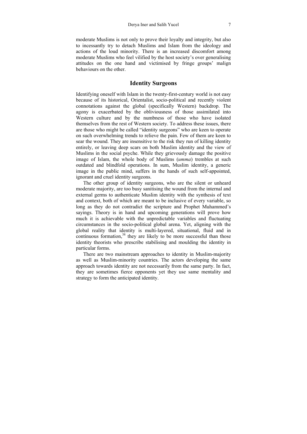moderate Muslims is not only to prove their loyalty and integrity, but also to incessantly try to detach Muslims and Islam from the ideology and actions of the loud minority. There is an increased discomfort among moderate Muslims who feel vilified by the host society's over generalising attitudes on the one hand and victimised by fringe groups' malign behaviours on the other.

### **Identity Surgeons**

Identifying oneself with Islam in the twenty-first-century world is not easy because of its historical, Orientalist, socio-political and recently violent connotations against the global (specifically Western) backdrop. The agony is exacerbated by the obliviousness of those assimilated into Western culture and by the numbness of those who have isolated themselves from the rest of Western society. To address these issues, there are those who might be called "identity surgeons" who are keen to operate on such overwhelming trends to relieve the pain. Few of them are keen to sear the wound. They are insensitive to the risk they run of killing identity entirely, or leaving deep scars on both Muslim identity and the view of Muslims in the social psyche. While they grievously damage the positive image of Islam, the whole body of Muslims (*umma*) trembles at such outdated and blindfold operations. In sum, Muslim identity, a generic image in the public mind, suffers in the hands of such self-appointed, ignorant and cruel identity surgeons.

The other group of identity surgeons, who are the silent or unheard moderate majority, are too busy sanitising the wound from the internal and external germs to authenticate Muslim identity with the synthesis of text and context, both of which are meant to be inclusive of every variable, so long as they do not contradict the scripture and Prophet Muhammed's sayings. Theory is in hand and upcoming generations will prove how much it is achievable with the unpredictable variables and fluctuating circumstances in the socio-political global arena. Yet, aligning with the global reality that identity is multi-layered, situational, fluid and in continuous formation, $38$  they are likely to be more successful than those identity theorists who prescribe stabilising and moulding the identity in particular forms.

There are two mainstream approaches to identity in Muslim-majority as well as Muslim-minority countries. The actors developing the same approach towards identity are not necessarily from the same party. In fact, they are sometimes fierce opponents yet they use same mentality and strategy to form the anticipated identity.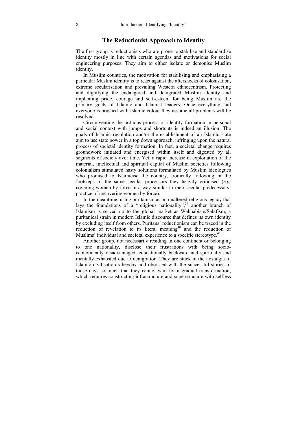### **The Reductionist Approach to Identity**

The first group is reductionists who are prone to stabilise and standardise identity mostly in line with certain agendas and motivations for social engineering purposes. They aim to either isolate or demonise Muslim identity.

In Muslim countries, the motivation for stabilising and emphasising a particular Muslim identity is to react against the aftershocks of colonisation, extreme secularisation and prevailing Western ethnocentrism. Protecting and dignifying the endangered and denigrated Muslim identity and implanting pride, courage and self-esteem for being Muslim are the primary goals of Islamic and Islamist leaders. Once everything and everyone is brushed with Islamic colour they assume all problems will be resolved.

Circumventing the arduous process of identity formation in personal and social context with jumps and shortcuts is indeed an illusion. The goals of Islamic revolution and/or the establishment of an Islamic state aim to use state power in a top down approach, infringing upon the natural process of societal identity formation. In fact, a societal change requires groundwork initiated and energised within itself and digested by all segments of society over time. Yet, a rapid increase in exploitation of the material, intellectual and spiritual capital of Muslim societies following colonialism stimulated hasty solutions formulated by Muslim ideologues who promised to Islamicise the country, ironically following in the footsteps of the same secular processors they heavily criticised (e.g. covering women by force in a way similar to their secular predecessors' practice of uncovering women by force).

In the meantime, using puritanism as an unaltered religious legacy that lays the foundations of a "religious nationality",<sup>39</sup> another branch of Islamism is served up to the global market as Wahhabism/Salafism, a puritanical strain in modern Islamic discourse that defines its own identity by excluding itself from others. Puritans' reductionism can be traced in the reduction of revelation to its literal meaning<sup>40</sup> and the reduction of Muslims' individual and societal experience to a specific stereotype.<sup>41</sup>

Another group, not necessarily residing in one continent or belonging to one nationality, disclose their frustrations with being socioeconomically disadvantaged, educationally backward and spiritually and mentally exhausted due to denigration. They are stuck in the nostalgia of Islamic civilisation's heyday and obsessed with the successful stories of those days so much that they cannot wait for a gradual transformation, which requires constructing infrastructure and superstructure with selfless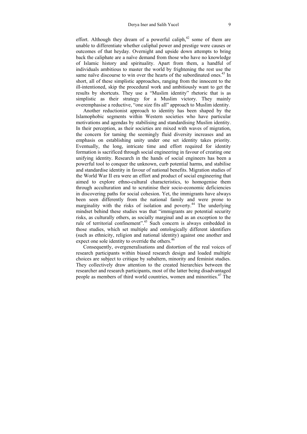effort. Although they dream of a powerful caliph, $42$  some of them are unable to differentiate whether caliphal power and prestige were causes or outcomes of that heyday. Overnight and upside down attempts to bring back the caliphate are a naïve demand from those who have no knowledge of Islamic history and spirituality. Apart from them, a handful of individuals ambitious to master the world by frightening the rest use the same naïve discourse to win over the hearts of the subordinated ones.<sup>43</sup> In short, all of these simplistic approaches, ranging from the innocent to the ill-intentioned, skip the procedural work and ambitiously want to get the results by shortcuts. They use a "Muslim identity" rhetoric that is as simplistic as their strategy for a Muslim victory. They mainly overemphasise a reductive, "one size fits all" approach to Muslim identity.

Another reductionist approach to identity has been shaped by the Islamophobic segments within Western societies who have particular motivations and agendas by stabilising and standardising Muslim identity. In their perception, as their societies are mixed with waves of migration, the concern for taming the seemingly fluid diversity increases and an emphasis on establishing unity under one set identity takes priority. Eventually, the long, intricate time and effort required for identity formation is sacrificed through social engineering in favour of creating one unifying identity. Research in the hands of social engineers has been a powerful tool to conquer the unknown, curb potential harms, and stabilise and standardise identity in favour of national benefits. Migration studies of the World War II era were an effort and product of social engineering that aimed to explore ethno-cultural characteristics, to homogenise them through acculturation and to scrutinise their socio-economic deficiencies in discovering paths for social cohesion. Yet, the immigrants have always been seen differently from the national family and were prone to marginality with the risks of isolation and poverty.<sup>44</sup> The underlying mindset behind these studies was that "immigrants are potential security risks, as culturally others, as socially marginal and as an exception to the rule of territorial confinement".45 Such concern is always embedded in those studies, which set multiple and ontologically different identifiers (such as ethnicity, religion and national identity) against one another and expect one sole identity to override the others.<sup>46</sup>

Consequently, overgeneralisations and distortion of the real voices of research participants within biased research design and loaded multiple choices are subject to critique by subaltern, minority and feminist studies. They collectively draw attention to the created hierarchies between the researcher and research participants, most of the latter being disadvantaged people as members of third world countries, women and minorities.47 The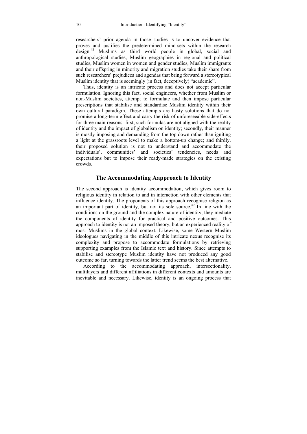researchers' prior agenda in those studies is to uncover evidence that proves and justifies the predetermined mind-sets within the research design.48 Muslims as third world people in global, social and anthropological studies, Muslim geographies in regional and political studies, Muslim women in women and gender studies, Muslim immigrants and their offspring in minority and migration studies take their share from such researchers' prejudices and agendas that bring forward a stereotypical Muslim identity that is seemingly (in fact, deceptively) "academic".

Thus, identity is an intricate process and does not accept particular formulation. Ignoring this fact, social engineers, whether from Muslim or non-Muslim societies, attempt to formulate and then impose particular prescriptions that stabilise and standardise Muslim identity within their own cultural paradigm. These attempts are hasty solutions that do not promise a long-term effect and carry the risk of unforeseeable side-effects for three main reasons: first, such formulas are not aligned with the reality of identity and the impact of globalism on identity; secondly, their manner is mostly imposing and demanding from the top down rather than igniting a light at the grassroots level to make a bottom-up change; and thirdly, their proposed solution is not to understand and accommodate the individuals', communities' and societies' tendencies, needs and expectations but to impose their ready-made strategies on the existing crowds.

### **The Accommodating Aapproach to Identity**

The second approach is identity accommodation, which gives room to religious identity in relation to and in interaction with other elements that influence identity. The proponents of this approach recognise religion as an important part of identity, but not its sole source.49 In line with the conditions on the ground and the complex nature of identity, they mediate the components of identity for practical and positive outcomes. This approach to identity is not an imposed theory, but an experienced reality of most Muslims in the global context. Likewise, some Western Muslim ideologues navigating in the middle of this intricate nexus recognise its complexity and propose to accommodate formulations by retrieving supporting examples from the Islamic text and history. Since attempts to stabilise and stereotype Muslim identity have not produced any good outcome so far, turning towards the latter trend seems the best alternative.

According to the accommodating approach, intersectionality, multilayers and different affiliations in different contexts and amounts are inevitable and necessary. Likewise, identity is an ongoing process that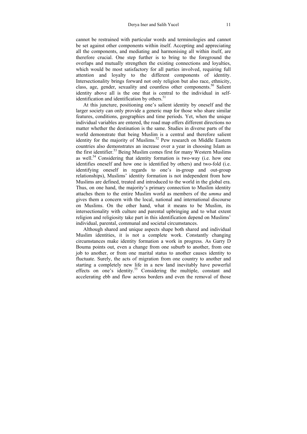cannot be restrained with particular words and terminologies and cannot be set against other components within itself. Accepting and appreciating all the components, and mediating and harmonising all within itself, are therefore crucial. One step further is to bring to the foreground the overlaps and mutually strengthen the existing connections and loyalties, which would be most satisfactory for all parties involved, requiring full attention and loyalty to the different components of identity. Intersectionality brings forward not only religion but also race, ethnicity, class, age, gender, sexuality and countless other components.<sup>50</sup> Salient identity above all is the one that is central to the individual in selfidentification and identification by others.<sup>51</sup>

At this juncture, positioning one's salient identity by oneself and the larger society can only provide a generic map for those who share similar features, conditions, geographies and time periods. Yet, when the unique individual variables are entered, the road map offers different directions no matter whether the destination is the same. Studies in diverse parts of the world demonstrate that being Muslim is a central and therefore salient identity for the majority of Muslims.<sup>52</sup> Pew research on Middle Eastern countries also demonstrates an increase over a year in choosing Islam as the first identifier.<sup>53</sup> Being Muslim comes first for many Western Muslims as well.54 Considering that identity formation is two-way (i.e. how one identifies oneself and how one is identified by others) and two-fold (i.e. identifying oneself in regards to one's in-group and out-group relationships), Muslims' identity formation is not independent from how Muslims are defined, treated and introduced to the world in the global era. Thus, on one hand, the majority's primary connection to Muslim identity attaches them to the entire Muslim world as members of the *umma* and gives them a concern with the local, national and international discourse on Muslims. On the other hand, what it means to be Muslim, its intersectionality with culture and parental upbringing and to what extent religion and religiosity take part in this identification depend on Muslims' individual, parental, communal and societal circumstances.

Although shared and unique aspects shape both shared and individual Muslim identities, it is not a complete work. Constantly changing circumstances make identity formation a work in progress. As Garry D Bouma points out, even a change from one suburb to another, from one job to another, or from one marital status to another causes identity to fluctuate. Surely, the acts of migration from one country to another and starting a completely new life in a new land inevitably have powerful effects on one's identity.<sup>55</sup> Considering the multiple, constant and accelerating ebb and flow across borders and even the removal of those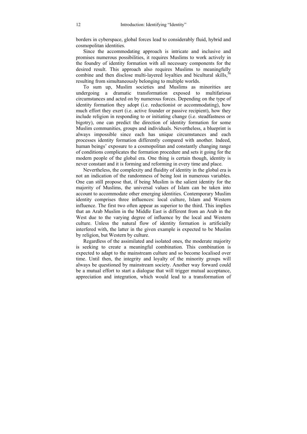borders in cyberspace, global forces lead to considerably fluid, hybrid and cosmopolitan identities.

Since the accommodating approach is intricate and inclusive and promises numerous possibilities, it requires Muslims to work actively in the foundry of identity formation with all necessary components for the desired result. This approach also requires Muslims to meaningfully combine and then disclose multi-layered loyalties and bicultural skills.<sup>56</sup> resulting from simultaneously belonging to multiple worlds.

To sum up, Muslim societies and Muslims as minorities are undergoing a dramatic transformation exposed to multifarious circumstances and acted on by numerous forces. Depending on the type of identity formation they adopt (i.e. reductionist or accommodating), how much effort they exert (i.e. active founder or passive recipient), how they include religion in responding to or initiating change (i.e. steadfastness or bigotry), one can predict the direction of identity formation for some Muslim communities, groups and individuals. Nevertheless, a blueprint is always impossible since each has unique circumstances and each processes identity formation differently compared with another. Indeed, human beings' exposure to a cosmopolitan and constantly changing range of conditions complicates the formation procedure and sets it going for the modern people of the global era. One thing is certain though, identity is never constant and it is forming and reforming in every time and place.

Nevertheless, the complexity and fluidity of identity in the global era is not an indication of the randomness of being lost in numerous variables. One can still propose that, if being Muslim is the salient identity for the majority of Muslims, the universal values of Islam can be taken into account to accommodate other emerging identities. Contemporary Muslim identity comprises three influences: local culture, Islam and Western influence. The first two often appear as superior to the third. This implies that an Arab Muslim in the Middle East is different from an Arab in the West due to the varying degree of influence by the local and Western culture. Unless the natural flow of identity formation is artificially interfered with, the latter in the given example is expected to be Muslim by religion, but Western by culture.

Regardless of the assimilated and isolated ones, the moderate majority is seeking to create a meaningful combination. This combination is expected to adapt to the mainstream culture and so become localised over time. Until then, the integrity and loyalty of the minority groups will always be questioned by mainstream society. Another way forward could be a mutual effort to start a dialogue that will trigger mutual acceptance, appreciation and integration, which would lead to a transformation of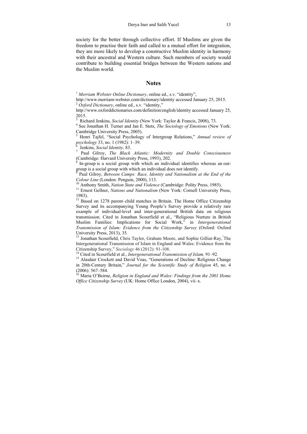society for the better through collective effort. If Muslims are given the freedom to practise their faith and called to a mutual effort for integration, they are more likely to develop a constructive Muslim identity in harmony with their ancestral and Western culture. Such members of society would contribute to building essential bridges between the Western nations and the Muslim world.

#### **Notes**

<sup>1</sup> Merriam Webster Online Dictionary, online ed., s.v. "identity",

http://www.merriam-webster.com/dictionary/identity accessed January 25, 2015. 2 *Oxford Dictionary*, online ed., s.v. "identity,"

http://www.oxforddictionaries.com/definition/english/identity accessed January 25, 2015.

<sup>3</sup> Richard Jenkins, *Social Identity* (New York: Taylor & Francis, 2008), 73.

<sup>4</sup> See Jonathan H. Turner and Jan E. Stets, *The Sociology of Emotions* (New York: Cambridge University Press, 2005).

5 Henri Tajfel, "Social Psychology of Intergroup Relations," *Annual review of psychology* 33, no. 1 (1982): 1–39.<br><sup>6</sup> Jenkins, *Social Identity*, 83.

<sup>o</sup> Jenkins, *Social Identity,* 83.<br><sup>7</sup> Paul Gilroy, *The Black Atlantic: Modernity and Double Consciousness* (Cambridge: Harvard University Press, 1993), 202.

8 In-group is a social group with which an individual identifies whereas an outgroup is a social group with which an individual does not identify.

<sup>9</sup> Paul Gilroy, *Between Camps: Race, Identity and Nationalism at the End of the Colour Line* (London: Penguin, 2000), 113.

<sup>10</sup> Anthony Smith, *Nation State and Violence* (Cambridge: Polity Press, 1985). <sup>11</sup> Ernest Gellner, *Nations and Nationalism* (New York: Cornell University Press, 1983).

 $12$  Based on 1278 parent–child matches in Britain. The Home Office Citizenship Survey and its accompanying Young People's Survey provide a relatively rare example of individual-level and inter-generational British data on religious transmission. Cited in Jonathan Scourfield et al., "Religious Nurture in British Muslim Families: Implications for Social Work," in *Intergenerational Transmission of Islam: Evidence from the Citizenship Survey* (Oxford: Oxford University Press, 2013), 35.

<sup>13</sup> Jonathan Scourfield, Chris Taylor, Graham Moore, and Sophie Gilliat-Ray, The Intergenerational Transmission of Islam in England and Wales: Evidence from the Citizenship Survey," Sociology 46 (2012): 91-108.

<sup>14</sup> Cited in Scourfield et al., *Intergenerational Transmission of Islam*, 91–92.<br><sup>15</sup> Alasdair Crockett and David Voas, "Generations of Decline: Religious Change

in 20th‐Century Britain," *Journal for the Scientific Study of Religion* 45, no. 4 (2006): 567–584.

16 Maria O'Beirne, *Religion in England and Wales: Findings from the 2001 Home Office Citizenship Survey* (UK: Home Office London, 2004), vii–x.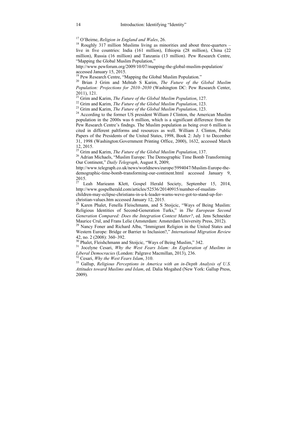<sup>17</sup> O'Beirne, *Religion in England and Wales*, 26.<br><sup>18</sup> Roughly 317 million Muslims living as minorities and about three-quarters – live in five countries: India (161 million), Ethiopia (28 million), China (22 million), Russia (16 million) and Tanzania (13 million). Pew Research Centre, "Mapping the Global Muslim Population,"

http://www.pewforum.org/2009/10/07/mapping-the-global-muslim-population/ accessed January 15, 2015.<br><sup>19</sup> Pew Research Centre, "Mapping the Global Muslim Population."

<sup>20</sup> Brian J Grim and Mehtab S Karim, The Future of the Global Muslim *Population: Projections for 2010–2030* (Washington DC: Pew Research Center,

2011), 121.<br><sup>21</sup> Grim and Karim, *The Future of the Global Muslim Population*, 127.

<sup>22</sup> Grim and Karim, *The Future of the Global Muslim Population*, 123.<br><sup>23</sup> Grim and Karim, *The Future of the Global Muslim Population*, 123.<br><sup>24</sup> According to the former US president William J Clinton, the American Mus population in the 2000s was 6 million, which is a significant difference from the Pew Research Centre's findngs. The Muslim population as being over 6 million is cited in different paltforms and resources as well. William J. Clinton, Public Papers of the Presidents of the United States, 1998, Book 2: July 1 to December 31, 1998 (Washington:Government Printing Office, 2000), 1632, accessed March 12, 2015.<br><sup>25</sup> Grim and Karim, *The Future of the Global Muslim Population*, 137.

<sup>26</sup> Adrian Michaels, "Muslim Europe: The Demographic Time Bomb Transforming Our Continent," *Daily Telegraph*, August 8, 2009,

http://www.telegraph.co.uk/news/worldnews/europe/5994047/Muslim-Europe-thedemographic-time-bomb-transforming-our-continent.html accessed January 9,  $\frac{2015}{27}$ .

Leah Marieann Klett, Gospel Herald Society, September 15, 2014, http://www.gospelherald.com/articles/52536/20140915/number-of-muslim-

children-may-eclipse-christians-in-u-k-leader-warns-weve-got-to-stand-up-forchristian-values.htm accessed January 12, 2015.

<sup>28</sup> Karen Phalet, Fenella Fleischmann, and S Stoijcic, "Ways of Being Muslim: Religious Identities of Second-Generation Turks," in *The European Second Generation Compared: Does the Integration Context Matter?*, ed. Jens Schneider

Maurice Crul, and Frans Lelie (Amsterdam: Amsterdam University Press, 2012).<br><sup>29</sup> Nancy Foner and Richard Alba, "Immigrant Religion in the United States and Western Europe: Bridge or Barrier to Inclusion?," *International Migration Review* 42, no. 2 (2008): 360–392.

<sup>30</sup> Phalet, Fleishchmann and Stoijcic, "Ways of Being Muslim," 342.<br><sup>31</sup> Iocelyne Cesari, *Why the West Fears Islam: An Exploration* 

<sup>31</sup> Jocelyne Cesari, *Why the West Fears Islam: An Exploration of Muslims in Liberal Democracies (London: Palgrave Macmillan, 2013), 236.* 

<sup>32</sup> Cesari, *Why the West Fears Islam*, 310. <sup>33</sup> Gallup, *Religious Perceptions in America with an in-Depth Analysis of U.S. Attitudes toward Muslims and Islam*, ed. Dalia Mogahed (New York: Gallup Press, 2009).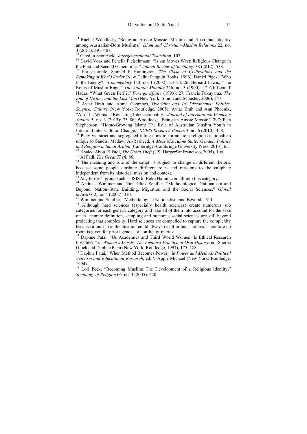<sup>34</sup> Rachel Woodlock, "Being an Aussie Mossie: Muslim and Australian Identity among Australian-Born Muslims," *Islam and Christian–Muslim Relations* 22, no. 4 (2011): 391–407.<br><sup>35</sup> Cited in Scourfield. *Intergenerational Transition*, 107.

<sup>36</sup> David Voas and Fenella Fleischmann, "Islam Moves West: Religious Change in the First and Second Generations," *Annual Review of Sociology* 38 (2012): 538.

<sup>37</sup> For example, Samuel P Huntington, *The Clash of Civilizations and the Remaking of World Order* (New Delhi: Penguin Books, 1996); Daniel Pipes, "Who Is the Enemy?," *Commentary* 113, no. 1 (2002): 23–24, 26; Bernard Lewis, "The Roots of Muslim Rage," *The Atlantic Monthly* 266, no. 3 (1990): 47–60; Leon T Hadar, "What Green Peril?," *Foreign Affairs* (1993): 27; Francis Fukuyama, *The* 

<sup>38</sup> Avtar Brah and Annie Coombes, *Hybridity and Its Discontents: Politics*, *Science, Culture* (New York: Routledge, 2005); Avtar Brah and Ann Phoenix, "Ain't I a Woman? Revisiting Intersectionality," *Journal of International Women's Studies* 5, no. 3 (2013): 75–86; Woodlock, "Being an Aussie Mossie," 397; Peta Stephenson, "Home-Growing Islam: The Role of Australian Muslim Youth in Intra-and Inter-Cultural Change," NCEIS Research Papers 3, no. 6 (2010): 4, 8.

<sup>39</sup> Piety via strict and segregated ruling aims to formulate a religious nationalism unique to Saudis. Madawi Al-Rasheed, *A Most Masculine State: Gender, Politics*  <sup>40</sup> Khaled Abou El Fadl, *The Great Theft* (US: HarperSanFrancisco, 2005), 106.<br><sup>41</sup> Al Fadl, *The Great Theft*, 86.<br><sup>42</sup> The meaning and role of the caliph is subject to change in different rhetoric

because some people attribute different roles and missions to the caliphate

<sup>43</sup> Any terrorist group such as ISIS to Boko Haram can fall into this category.  $44$  Andreas Wimmer and Nina Glick Schiller, "Methodological Nationalism and Beyond: Nation–State Building, Migration and the Social Sciences," *Global* 

<sup>45</sup> Wimmer and Schiller, "Methodological Nationalism and Beyond," 311.<br><sup>46</sup> Although hard sciences (especially health sciences) create numerous sub categories for each generic category and take all of them into account for the sake of an accurate definition, sampling and outcome, social sciences are still beyond projecting that complexity. Hard sciences are compelled to capture the complexity because a fault in authentication could always result in fatal failures. Therefore no room is given for prior agendas or conflict of interest.

<sup>47</sup> Daphne Patai, "Us Academics and Third World Women: Is Ethical Research Possible?," in *Women's Words: The Feminist Practice of Oral History*, ed. Sherna Gluck and Daphne Patai (New York: Routledge, 1991), 175–188.

48 Daphne Patai, "When Method Becomes Power," in *Power and Method: Political Activism and Educational Research*, ed. V Apple Michael (New York: Routledge, 1994).

<sup>49</sup> Lori Peek, "Becoming Muslim: The Development of a Religious Identity," *Sociology of Religion* 66, no. 3 (2005): 220.